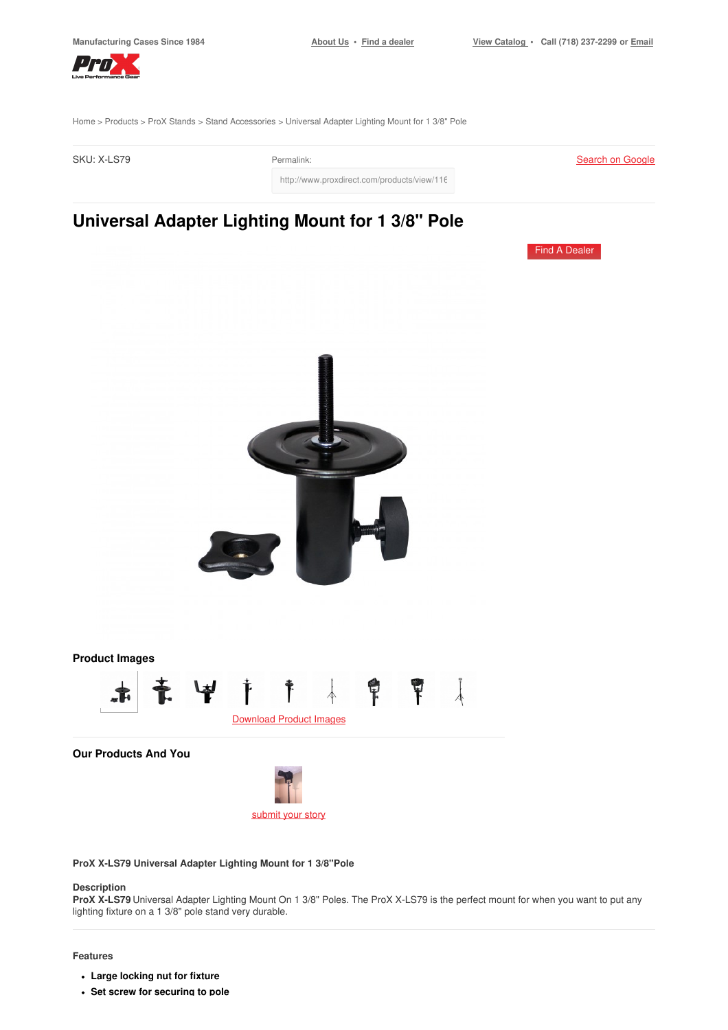Find A [Dealer](https://www.proxdirect.com/dealer/locator/)



[Home](https://www.proxdirect.com/) > [Products](https://www.proxdirect.com/products/) > ProX [Stands](https://www.proxdirect.com/products/browse/category/ProX-Stands) > Stand [Accessories](https://www.proxdirect.com/products/browse/category/Stand-Accessories) > Universal Adapter Lighting Mount for 1 3/8" Pole

| SKU: X-LS79 | Permalink:                                  |
|-------------|---------------------------------------------|
|             | http://www.proxdirect.com/products/view/116 |

## **Universal Adapter Lighting Mount for 1 3/8" Pole**



**ProX X-LS79 Universal Adapter Lighting Mount for 1 3/8"Pole**

#### **Description**

**ProX X-LS79** Universal Adapter Lighting Mount On 1 3/8" Poles. The ProX X-LS79 is the perfect mount for when you want to put any lighting fixture on a 1 3/8" pole stand very durable.

#### **Features**

- **Large locking nut for fixture**
- **Set screw for securing to pole**